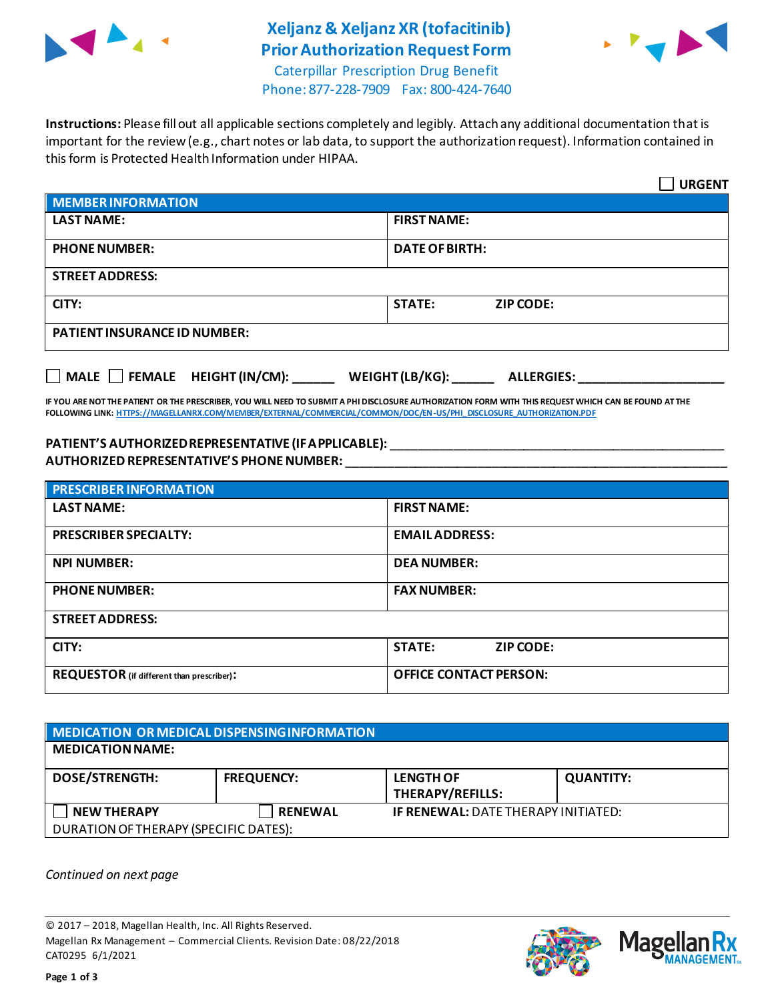

## **Xeljanz & Xeljanz XR (tofacitinib) Prior Authorization Request Form**



Caterpillar Prescription Drug Benefit Phone: 877-228-7909 Fax: 800-424-7640

**Instructions:** Please fill out all applicable sections completely and legibly. Attach any additional documentation that is important for the review (e.g., chart notes or lab data, to support the authorization request). Information contained in this form is Protected Health Information under HIPAA.

|                                           | <b>URGENT</b>                        |  |
|-------------------------------------------|--------------------------------------|--|
| <b>MEMBER INFORMATION</b>                 |                                      |  |
| <b>LAST NAME:</b>                         | <b>FIRST NAME:</b>                   |  |
| <b>PHONE NUMBER:</b>                      | <b>DATE OF BIRTH:</b>                |  |
| <b>STREET ADDRESS:</b>                    |                                      |  |
| CITY:                                     | <b>STATE:</b><br><b>ZIP CODE:</b>    |  |
| <b>PATIENT INSURANCE ID NUMBER:</b>       |                                      |  |
| $\Box$ MALE $\Box$ FEMALE HEIGHT (IN/CM): | WEIGHT (LB/KG):<br><b>ALLERGIES:</b> |  |

**IF YOU ARE NOT THE PATIENT OR THE PRESCRIBER, YOU WILL NEED TO SUBMIT A PHI DISCLOSURE AUTHORIZATION FORM WITH THIS REQUEST WHICH CAN BE FOUND AT THE FOLLOWING LINK[: HTTPS://MAGELLANRX.COM/MEMBER/EXTERNAL/COMMERCIAL/COMMON/DOC/EN-US/PHI\\_DISCLOSURE\\_AUTHORIZATION.PDF](https://magellanrx.com/member/external/commercial/common/doc/en-us/PHI_Disclosure_Authorization.pdf)**

## **PATIENT'S AUTHORIZED REPRESENTATIVE (IF APPLICABLE):** \_\_\_\_\_\_\_\_\_\_\_\_\_\_\_\_\_\_\_\_\_\_\_\_\_\_\_\_\_\_\_\_\_\_\_\_\_\_\_\_\_\_\_\_\_\_\_\_ **AUTHORIZED REPRESENTATIVE'S PHONE NUMBER:** \_\_\_\_\_\_\_\_\_\_\_\_\_\_\_\_\_\_\_\_\_\_\_\_\_\_\_\_\_\_\_\_\_\_\_\_\_\_\_\_\_\_\_\_\_\_\_\_\_\_\_\_\_\_\_

| <b>PRESCRIBER INFORMATION</b>             |                               |  |
|-------------------------------------------|-------------------------------|--|
| <b>LAST NAME:</b>                         | <b>FIRST NAME:</b>            |  |
| <b>PRESCRIBER SPECIALTY:</b>              | <b>EMAIL ADDRESS:</b>         |  |
| <b>NPI NUMBER:</b>                        | <b>DEA NUMBER:</b>            |  |
| <b>PHONE NUMBER:</b>                      | <b>FAX NUMBER:</b>            |  |
| <b>STREET ADDRESS:</b>                    |                               |  |
| CITY:                                     | <b>STATE:</b><br>ZIP CODE:    |  |
| REQUESTOR (if different than prescriber): | <b>OFFICE CONTACT PERSON:</b> |  |

| MEDICATION OR MEDICAL DISPENSING INFORMATION |                   |                                             |                  |  |  |
|----------------------------------------------|-------------------|---------------------------------------------|------------------|--|--|
| <b>MEDICATION NAME:</b>                      |                   |                                             |                  |  |  |
| <b>DOSE/STRENGTH:</b>                        | <b>FREQUENCY:</b> | <b>LENGTH OF</b><br><b>THERAPY/REFILLS:</b> | <b>QUANTITY:</b> |  |  |
| <b>NEW THERAPY</b>                           | <b>RENEWAL</b>    | <b>IF RENEWAL: DATE THERAPY INITIATED:</b>  |                  |  |  |
| DURATION OF THERAPY (SPECIFIC DATES):        |                   |                                             |                  |  |  |

*Continued on next page*

© 2017 – 2018, Magellan Health, Inc. All Rights Reserved. Magellan Rx Management – Commercial Clients. Revision Date: 08/22/2018 CAT0295 6/1/2021



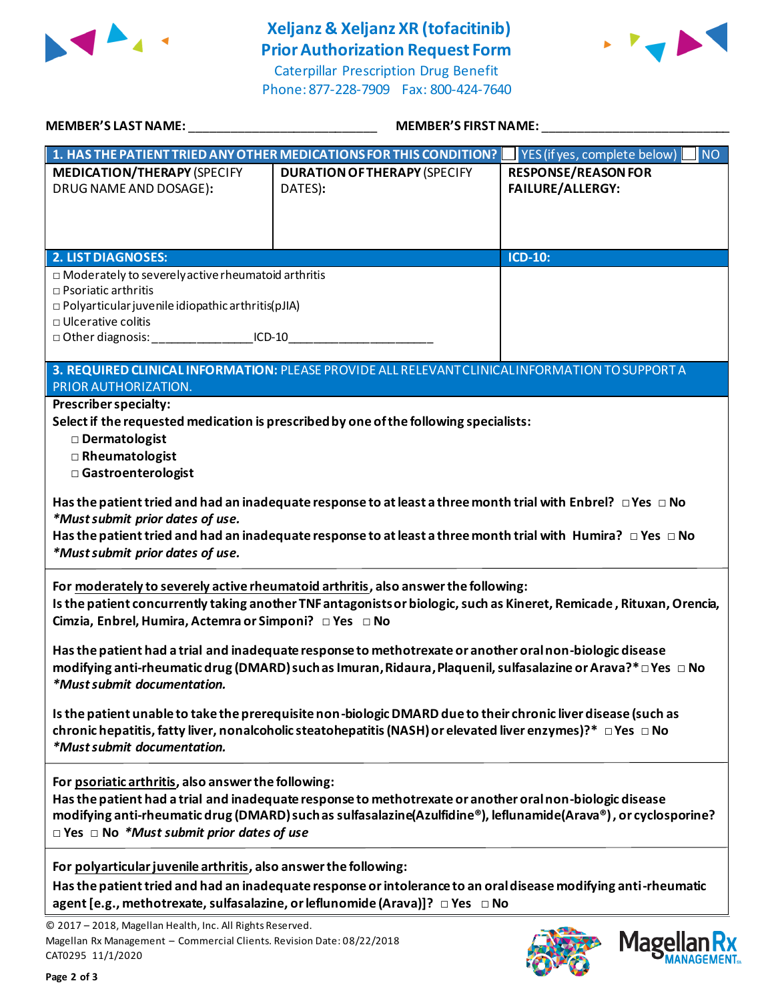

## **Xeljanz & Xeljanz XR (tofacitinib) Prior Authorization Request Form**

Caterpillar Prescription Drug Benefit Phone: 877-228-7909 Fax: 800-424-7640



| <b>MEMBER'S LAST NAME:</b> NAME                                                                                                                                                                                                                                     | MEMBER'S FIRST NAME:                                                                                                                                                                                                                                                                                                                                                                                                                              |                                                       |
|---------------------------------------------------------------------------------------------------------------------------------------------------------------------------------------------------------------------------------------------------------------------|---------------------------------------------------------------------------------------------------------------------------------------------------------------------------------------------------------------------------------------------------------------------------------------------------------------------------------------------------------------------------------------------------------------------------------------------------|-------------------------------------------------------|
|                                                                                                                                                                                                                                                                     | 1. HAS THE PATIENT TRIED ANY OTHER MEDICATIONS FOR THIS CONDITION?                                                                                                                                                                                                                                                                                                                                                                                | $\sqrt{\ }$ YES (if yes, complete below)<br><b>NO</b> |
| <b>MEDICATION/THERAPY (SPECIFY</b><br>DRUG NAME AND DOSAGE):                                                                                                                                                                                                        | <b>DURATION OF THERAPY (SPECIFY</b><br>DATES):                                                                                                                                                                                                                                                                                                                                                                                                    | <b>RESPONSE/REASON FOR</b><br><b>FAILURE/ALLERGY:</b> |
| <b>2. LIST DIAGNOSES:</b>                                                                                                                                                                                                                                           |                                                                                                                                                                                                                                                                                                                                                                                                                                                   | <b>ICD-10:</b>                                        |
| $\Box$ Moderately to severely active rheumatoid arthritis<br>$\Box$ Psoriatic arthritis<br>$\Box$ Polyarticular juvenile idiopathic arthritis(pJIA)<br>$\Box$ Ulcerative colitis<br>□ Other diagnosis: ____________________ICD-10__________________________________ | 3. REQUIRED CLINICAL INFORMATION: PLEASE PROVIDE ALL RELEVANT CLINICAL INFORMATION TO SUPPORT A                                                                                                                                                                                                                                                                                                                                                   |                                                       |
| PRIOR AUTHORIZATION.                                                                                                                                                                                                                                                |                                                                                                                                                                                                                                                                                                                                                                                                                                                   |                                                       |
| Dermatologist<br>□ Rheumatologist<br>□ Gastroenterologist<br>*Must submit prior dates of use.<br>*Must submit prior dates of use.                                                                                                                                   | Select if the requested medication is prescribed by one of the following specialists:<br>Has the patient tried and had an inadequate response to at least a three month trial with Enbrel? $\Box$ Yes $\Box$ No<br>Has the patient tried and had an inadequate response to at least a three month trial with Humira? $\Box$ Yes $\Box$ No                                                                                                         |                                                       |
| Cimzia, Enbrel, Humira, Actemra or Simponi? □ Yes □ No<br>*Must submit documentation.                                                                                                                                                                               | For moderately to severely active rheumatoid arthritis, also answer the following:<br>Is the patient concurrently taking another TNF antagonists or biologic, such as Kineret, Remicade, Rituxan, Orencia,<br>Has the patient had a trial and inadequate response to methotrexate or another oral non-biologic disease<br>modifying anti-rheumatic drug (DMARD) such as Imuran, Ridaura, Plaquenil, sulfasalazine or Arava?* $\Box$ Yes $\Box$ No |                                                       |
| *Must submit documentation.                                                                                                                                                                                                                                         | Is the patient unable to take the prerequisite non-biologic DMARD due to their chronic liver disease (such as<br>chronic hepatitis, fatty liver, nonalcoholic steatohepatitis (NASH) or elevated liver enzymes)?* $\Box$ Yes $\Box$ No                                                                                                                                                                                                            |                                                       |
| For psoriatic arthritis, also answer the following:<br>$\Box$ Yes $\Box$ No *Must submit prior dates of use                                                                                                                                                         | Has the patient had a trial and inadequate response to methotrexate or another oral non-biologic disease<br>modifying anti-rheumatic drug (DMARD) such as sulfasalazine(Azulfidine®), leflunamide(Arava®), or cyclosporine?                                                                                                                                                                                                                       |                                                       |
| For polyarticular juvenile arthritis, also answer the following:                                                                                                                                                                                                    | Has the patient tried and had an inadequate response or intolerance to an oral disease modifying anti-rheumatic<br>agent [e.g., methotrexate, sulfasalazine, or leflunomide (Arava)]? □ Yes □ No                                                                                                                                                                                                                                                  |                                                       |
| © 2017 - 2018, Magellan Health, Inc. All Rights Reserved.<br>Magellan Rx Management - Commercial Clients. Revision Date: 08/22/2018<br>CAT0295 11/1/2020                                                                                                            |                                                                                                                                                                                                                                                                                                                                                                                                                                                   | Magel                                                 |